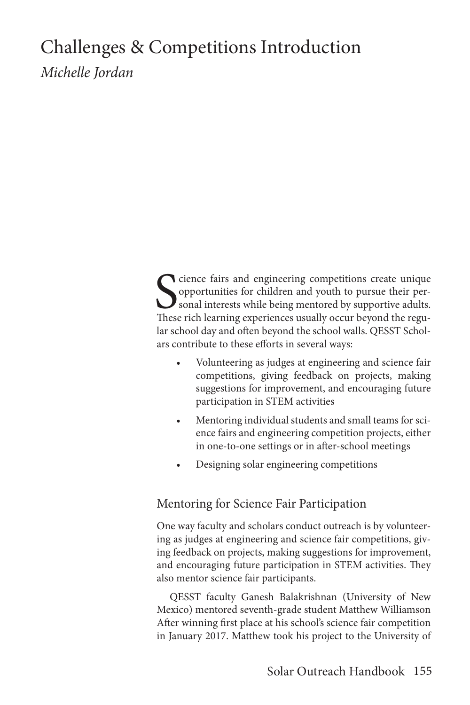## Challenges & Competitions Introduction *Michelle Jordan*

S<sub>These</sub> cience fairs and engineering competitions create unique opportunities for children and youth to pursue their personal interests while being mentored by supportive adults. These rich learning experiences usually occur beyond the regular school day and often beyond the school walls. QESST Scholars contribute to these efforts in several ways:

- Volunteering as judges at engineering and science fair competitions, giving feedback on projects, making suggestions for improvement, and encouraging future participation in STEM activities
- Mentoring individual students and small teams for science fairs and engineering competition projects, either in one-to-one settings or in after-school meetings
- Designing solar engineering competitions

## Mentoring for Science Fair Participation

One way faculty and scholars conduct outreach is by volunteering as judges at engineering and science fair competitions, giving feedback on projects, making suggestions for improvement, and encouraging future participation in STEM activities. They also mentor science fair participants.

QESST faculty Ganesh Balakrishnan (University of New Mexico) mentored seventh-grade student Matthew Williamson After winning first place at his school's science fair competition in January 2017. Matthew took his project to the University of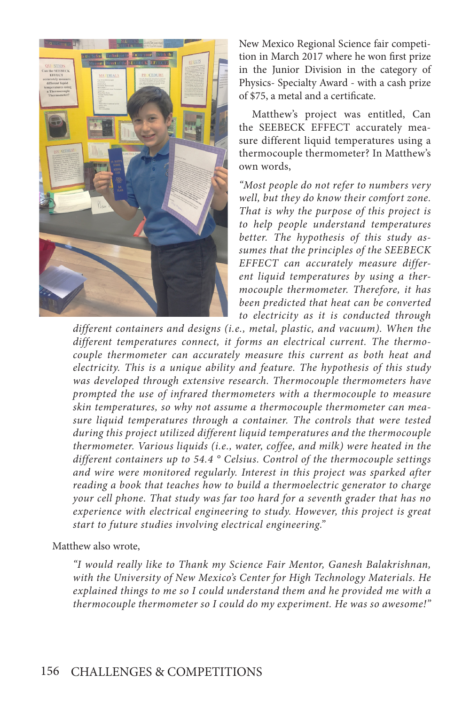

New Mexico Regional Science fair competition in March 2017 where he won first prize in the Junior Division in the category of Physics- Specialty Award - with a cash prize of \$75, a metal and a certificate.

Matthew's project was entitled, Can the SEEBECK EFFECT accurately measure different liquid temperatures using a thermocouple thermometer? In Matthew's own words,

*"Most people do not refer to numbers very well, but they do know their comfort zone. That is why the purpose of this project is to help people understand temperatures better. The hypothesis of this study assumes that the principles of the SEEBECK EFFECT can accurately measure different liquid temperatures by using a thermocouple thermometer. Therefore, it has been predicted that heat can be converted to electricity as it is conducted through* 

*different containers and designs (i.e., metal, plastic, and vacuum). When the different temperatures connect, it forms an electrical current. The thermocouple thermometer can accurately measure this current as both heat and electricity. This is a unique ability and feature. The hypothesis of this study was developed through extensive research. Thermocouple thermometers have prompted the use of infrared thermometers with a thermocouple to measure skin temperatures, so why not assume a thermocouple thermometer can measure liquid temperatures through a container. The controls that were tested during this project utilized different liquid temperatures and the thermocouple thermometer. Various liquids (i.e., water, coffee, and milk) were heated in the different containers up to 54.4 ° Celsius. Control of the thermocouple settings and wire were monitored regularly. Interest in this project was sparked after reading a book that teaches how to build a thermoelectric generator to charge your cell phone. That study was far too hard for a seventh grader that has no experience with electrical engineering to study. However, this project is great start to future studies involving electrical engineering."* 

Matthew also wrote,

*"I would really like to Thank my Science Fair Mentor, Ganesh Balakrishnan, with the University of New Mexico's Center for High Technology Materials. He explained things to me so I could understand them and he provided me with a thermocouple thermometer so I could do my experiment. He was so awesome!"*